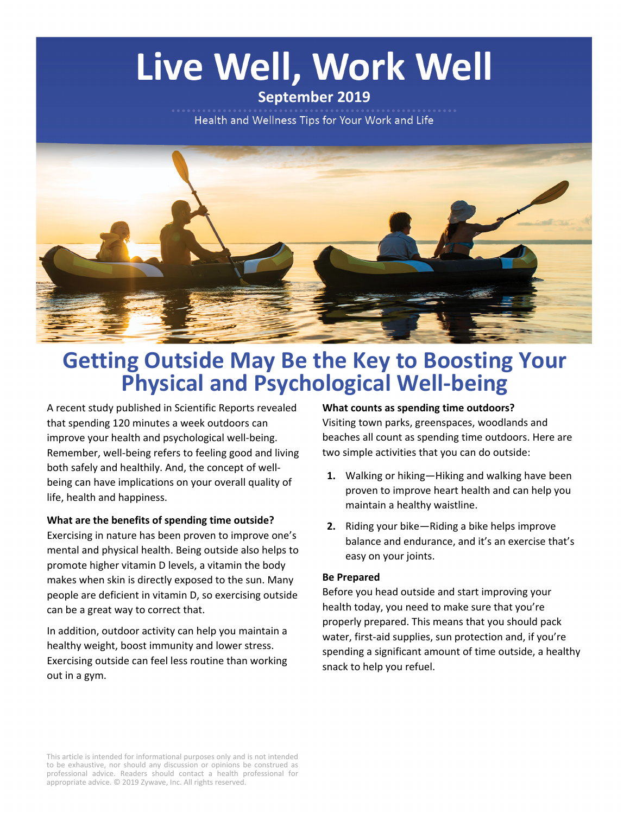# Live Well, Work Well

## **September 2019**

Health and Wellness Tips for Your Work and Life



## **Getting Outside May Be the Key to Boosting Your Physical and Psychological Well-being**

A recent study published in Scientific Reports revealed that spending 120 minutes a week outdoors can improve your health and psychological well-being. Remember, well-being refers to feeling good and living both safely and healthily. And, the concept of wellbeing can have implications on your overall quality of life, health and happiness.

#### **What are the benefits of spending time outside?**

Exercising in nature has been proven to improve one's mental and physical health. Being outside also helps to promote higher vitamin D levels, a vitamin the body makes when skin is directly exposed to the sun. Many people are deficient in vitamin D, so exercising outside can be a great way to correct that.

In addition, outdoor activity can help you maintain a healthy weight, boost immunity and lower stress. Exercising outside can feel less routine than working out in a gym.

#### **What counts as spending time outdoors?**

Visiting town parks, greenspaces, woodlands and beaches all count as spending time outdoors. Here are two simple activities that you can do outside:

- **1.** Walking or hiking—Hiking and walking have been proven to improve heart health and can help you maintain a healthy waistline.
- **2.** Riding your bike—Riding a bike helps improve balance and endurance, and it's an exercise that's easy on your joints.

#### **Be Prepared**

Before you head outside and start improving your health today, you need to make sure that you're properly prepared. This means that you should pack water, first-aid supplies, sun protection and, if you're spending a significant amount of time outside, a healthy snack to help you refuel.

This article is intended for informational purposes only and is not intended to be exhaustive, nor should any discussion or opinions be construed as professional advice. Readers should contact a health professional for appropriate advice. © 2019 Zywave, Inc. All rights reserved.